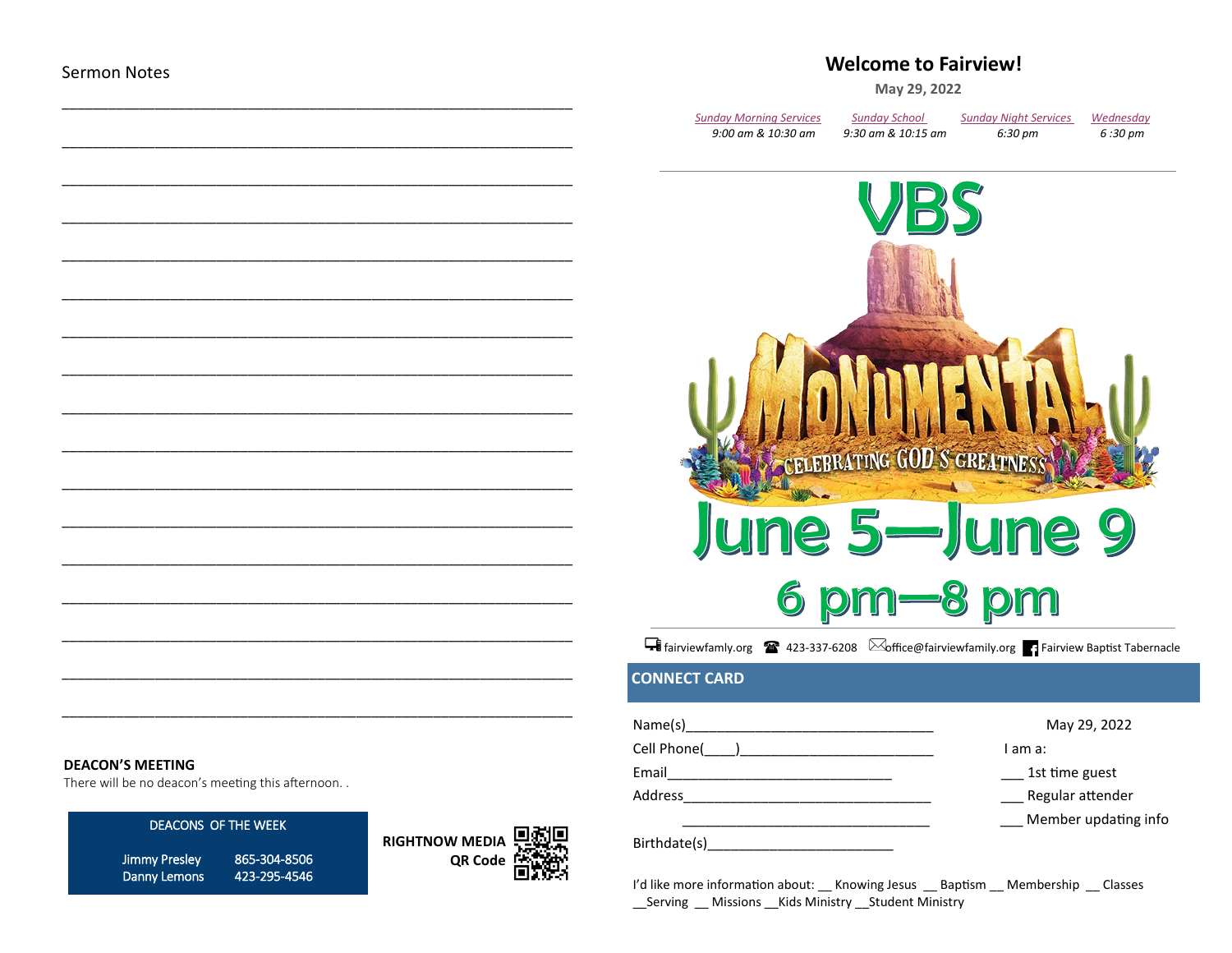## **Welcome to Fairview!**

May 29, 2022

| Sunday Morning Services | <b>Sunday School</b> | <b>Sunday Night Services</b> | Wednesday |
|-------------------------|----------------------|------------------------------|-----------|
| 9:00 am & 10:30 am      | 9:30 am & 10:15 am   | 6:30 pm                      | 6 :30 pm  |



Filiniewfamly.org 23-337-6208 **Soffice@fairviewfamily.org** Fairview Baptist Tabernacle

### **CONNECT CARD**

| Name(s)      | May 29, 2022         |
|--------------|----------------------|
| Cell Phone(  | I am a:              |
| Email        | 1st time guest       |
| Address      | Regular attender     |
|              | Member updating info |
| Birthdate(s) |                      |

I'd like more information about: Knowing Jesus Baptism Membership Classes \_\_Serving \_\_ Missions \_\_Kids Ministry \_\_Student Ministry

#### **DEACON'S MEETING**

There will be no deacon's meeting this afternoon...

#### DEACONS OF THE WEEK

**Jimmy Presley** 865-304-8506 Danny Lemons 423-295-4546